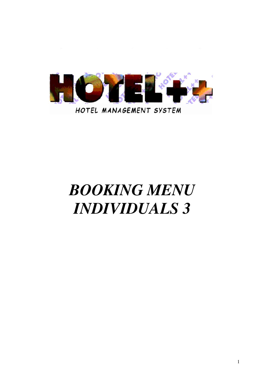

# *BOOKING MENU INDIVIDUALS 3*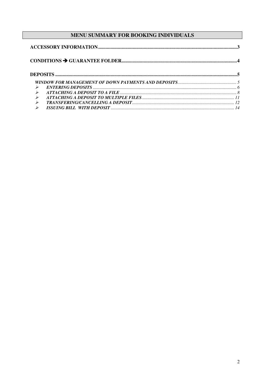## MENU SUMMARY FOR BOOKING INDIVIDUALS

| $\blacktriangleright$ |  |
|-----------------------|--|
| $\blacktriangleright$ |  |
| $\blacktriangleright$ |  |
| $\blacktriangleright$ |  |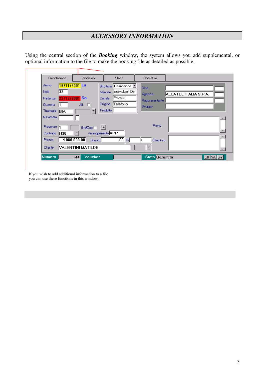## *ACCESSORY INFORMATION*

Using the central section of the *Booking* window, the system allows you add supplemental, or optional information to the file to make the booking file as detailed as possible.

| Prenotazione                     | Condizioni                 | Storia                     | Operativo              |                       |
|----------------------------------|----------------------------|----------------------------|------------------------|-----------------------|
| $19/11/2001$ Lu<br><b>Arrivo</b> |                            | Struttura <b>Residence</b> | <b>Ditta</b>           |                       |
| 33<br>Notti                      |                            | Mercato Individuali Dir    | Agenzia                | ALCATEL ITALIA S.P.A. |
| 22/12/2001 Sa<br>Partenza        |                            | Privato<br>Canale          | Rappresentante         |                       |
| Quantita                         | All. $\Box$                | <b>Telefono</b><br>Origine | Gruppo                 |                       |
| Tipologia<br><b>BIA</b>          | $\overline{\phantom{a}}$   | Prodotto                   |                        |                       |
| N.Camera                         |                            |                            |                        |                       |
| Presenze                         | Gra'Osp <sup>[1]</sup> Ris |                            | Preno                  |                       |
| Contratto H30                    | Arrangiamento APP          |                            |                        |                       |
| 4.080.000,00<br>Prezzo           | Sconto                     | $\overline{.00}$<br> %     | Check-in               |                       |
| Cliente                          | <b>VALENTINI MATILDE</b>   |                            | ▼                      |                       |
| Numero                           | Voucher<br>144             |                            | <b>Stato</b> Garantita |                       |

If you wish to add additional information to a file you can use these functions in this window.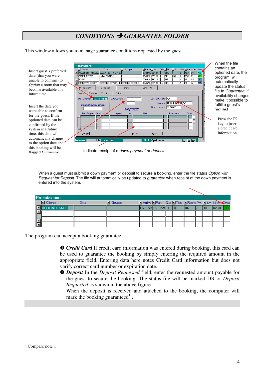## *CONDITIONS GUARANTEE FOLDER*

When the file Prenotazion: contains an \*I Cliente  $\overline{\text{Diss}}$ \* | Arrivo \* | Part. Q.ta \* | Tipo \* | R Pre \* Lorr Num Insert guest's preferred VALENTINI MATILE ALCATELITALIA S 19711/01 22/12/01 1 BIA<br>20/12/01 27/12/01 1 BIA<br>20/11/01 22/11/01 1 BIB  $\sqrt{1 - \text{APP}}$   $\sqrt{144}$ optioned date, the BBO <sub>P6</sub> program will **AP**  $\overline{118}$ wl boss E ROSSI<br>E UMBERTO DIOTTI automatically **BONOMI E PAGANI GRUPPO GRUPPO** 19/12/01 22/12/01 5 BIA  $5 \overline{\phantom{a}}$   $\overline{AP}$   $\overline{BA}$ 377 update the status Prenotazione Condizion Storia Operativo file to *Guarantee*, if **Garan** Pagamenti Soggiorno Extra availability changes Carta di Credito AX Data Opzione 19/11/2001 Data Conferma make it possible to Numero 12134860998271 fulfill a quest's Importo Dep / Cau richiesto Data scadenza 02/2003 Depositi request Data Registr. Anno N.J Import Note Press the F9 Ē key to insert īп a credit card information . Dettagli Inserisci  $\overline{\phantom{a}}$ Cancella Stato Opzionata Off WL Gar  $\overline{144}$ 

This window allows you to manage guarantee conditions requested by the guest.

Indicate receipt of a *down payment or deposit* 1 .

When a guest must submit a down payment or deposit to secure a booking, enter the file status *Option with Request for Deposit.* The file will automatically be updated to *guarantee* when receipt of the down payment is entered into the system.

| <b>Prenotazione</b>  |       |                       |                                               |  |  |     |      |  |            |       |  |
|----------------------|-------|-----------------------|-----------------------------------------------|--|--|-----|------|--|------------|-------|--|
| 国 Cliente            | Ditta | $\blacksquare$ Gruppo | Arrivo Part Qta Tipo Room Pre. Arr. Num Stato |  |  |     |      |  |            |       |  |
| <b>JGOLINI CARLO</b> |       |                       | 12/10/99 13/10/99                             |  |  | ICD | 1102 |  | <b>IBB</b> | 16620 |  |
|                      |       |                       |                                               |  |  |     |      |  |            |       |  |
|                      |       |                       |                                               |  |  |     |      |  |            |       |  |
|                      |       |                       |                                               |  |  |     |      |  |            |       |  |

The program can accept a booking guarantee:

**O** *Credit Card* If credit card information was entered during booking, this card can be used to guarantee the booking by simply entering the required amount in the appropriate field. Entering data here notes Credit Card information but does not varify correct card number or expiration date.

 *Deposit* In the *Deposit Requested* field, enter the requested amount payable for the guest to secure the booking. The status file will be marked DR or *Deposit Requested* as shown in the above figure.

When the deposit is received and attached to the booking, the computer will mark the booking guaranteed<sup>1</sup>.

Insert the date you were able to confirm for the guest. If the optioned date can be confirmed by the system at a future time, this date will automatically change to the option date and this booking will be flagged *Guarantee*.

date (that you were unable to confirm) to *Option* a room that may become available at a future time*.*

 $1$  Compare note 1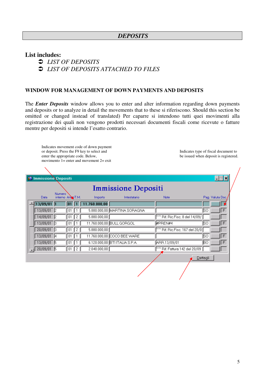#### *DEPOSITS*

#### **List includes:**

- *LIST OF DEPOSITS*
- *LIST OF DEPOSITS ATTACHED TO FILES*

#### **WINDOW FOR MANAGEMENT OF DOWN PAYMENTS AND DEPOSITS**

The *Enter Deposits* window allows you to enter and alter information regarding down payments and deposits or to analyze in detail the movements that to these si riferiscono. Should this section be omitted or changed instead of translated) Per caparre si intendono tutti quei movimenti alla registrazione dei quali non vengono prodotti necessari documenti fiscali come ricevute o fatture mentre per depositi si intende l'esatto contrario.

Indicates movement code of down payment or deposit. Press the F9 key to select and enter the appropriate code. Below, movimento  $1 =$  enter and movement  $2 =$  exit

Indicates type of fiscal document to be issued when deposit is registered.

 $\overline{1}$ 

|          | <b>S</b> Immissione Depositi |                                   |                          |                      |               | Immissione Depositi            |                                              |      |                  |  |  |  |  |  |  |  |
|----------|------------------------------|-----------------------------------|--------------------------|----------------------|---------------|--------------------------------|----------------------------------------------|------|------------------|--|--|--|--|--|--|--|
|          | Data:                        | <b>Numero</b><br>interno AncoT.M. |                          |                      | Importo       | Intestatario                   | <b>Note</b>                                  |      | Pag. Valuta Doc. |  |  |  |  |  |  |  |
|          | $13/09/01$ 1                 |                                   | 01                       |                      | 11.760.000,00 |                                |                                              |      |                  |  |  |  |  |  |  |  |
|          | $13/09/01$ 2                 |                                   | 01                       |                      |               | 5.880.000,00 MARTINA SORAGNA   |                                              | lso. | l F              |  |  |  |  |  |  |  |
|          | 14/09/01                     | 12                                | 01                       | $\mathbf{2}^{\circ}$ | 5.880.000,00  |                                | $^{\sim}$ $\sim$ Rif. Ric.Fisc. 8 del 14/09/ |      |                  |  |  |  |  |  |  |  |
|          | 13/09/01                     | -13                               | $_{01}$                  |                      |               | 11.760.000,00 BULL GORGOL      | #PREN#4                                      | SO   | F                |  |  |  |  |  |  |  |
|          | 20/09/01                     | -13                               | 01                       | $\mathbf{2}^{\circ}$ | 5.880.000,00  |                                | ~~ Rif. Ric.Fisc. 167 del 20/0               |      |                  |  |  |  |  |  |  |  |
|          | 13/09/01                     | 14                                | 01                       | $\mathbf{1}$         |               | 11.760.000,00 COCO BEE WARE    |                                              | lso. | F                |  |  |  |  |  |  |  |
|          | 13/09/01                     | 15                                | 01                       |                      |               | 6.120.000,00 BTI ITALIA S.P.A. | ARR.13/09/01                                 | BO   | F                |  |  |  |  |  |  |  |
|          | $20/09/01$ 5                 |                                   | $\boxed{01}$ $\boxed{2}$ |                      | 2.040.000,00  |                                | ~~ Rif. Fattura 142 del 20/09                |      |                  |  |  |  |  |  |  |  |
| Dettagli |                              |                                   |                          |                      |               |                                |                                              |      |                  |  |  |  |  |  |  |  |
|          |                              |                                   |                          |                      |               |                                |                                              |      |                  |  |  |  |  |  |  |  |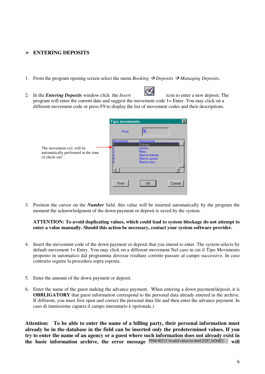#### - **ENTERING DEPOSITS**

- 1. From the program opening screen select the menu *Booking*  $\rightarrow$  *Deposits*  $\rightarrow$  *Managing Deposits*.
- Á 2. In the *Entering Deposits* window click the *Insert* icon to enter a new deposit. The program will enter the current date and suggest the movement code 1= Enter. You may click on a different movement code or press F9 to display the list of movement codes and their descriptions.

|                                                                    | <b>Tipo movimento</b> |                                         | $\vert x \vert$ |
|--------------------------------------------------------------------|-----------------------|-----------------------------------------|-----------------|
|                                                                    | Find                  |                                         |                 |
| The movement <i>exit</i> , will be                                 | Movimento             | Descrizone<br>Entrata<br><b>Uscita</b>  |                 |
| automatically performed at the time<br>of check-out <sup>1</sup> . |                       | Reso<br>Storno entrata<br>Storno uscita |                 |
|                                                                    |                       | Storno reso                             |                 |
|                                                                    |                       |                                         |                 |
|                                                                    | Find                  | <b>OK</b>                               | Cancel          |

3. Position the cursor on the *Number* field. this value will be inserted automatically by the program the moment the acknowledgment of the down payment or deposit is saved by the system.

#### **ATTENTION: To avoid duplicating values, which could lead to system blockage do not attempt to enter a value manually. Should this action be necessary, contact your system software provider.**

- 4. Insert the movement code of the down payment or deposit that you intend to enter. The system selects by default movement 1= Entry. You may click on a different movement Nel caso in cui il Tipo Movimento proposto in automatico dal programma dovesse risultare corretto passare al campo successivo. In caso contrario seguire la procedura sopra esposta.
- 5. Enter the amount of the down payment or deposit.
- 6. Enter the name of the guest making the advance payment. When entering a down payment/deposit, it is **OBBLIGATORY** that guest information correspond to the personal data already entered in the archive. If different, you must first open and correct the personal data file and then enter the advance payment. In caso di immissione caparra il campo intestatario è opzionale.)

**Attention: To be able to enter the name of a billing party, their personal information must already be in the database in the field can be inserted only the predetermined values. If you** try to enter the name of an agency or a guest where such information does not already exist in **the basic information archive, the error message FRM-40212: Invalid value for field DSP\_NOME2. will**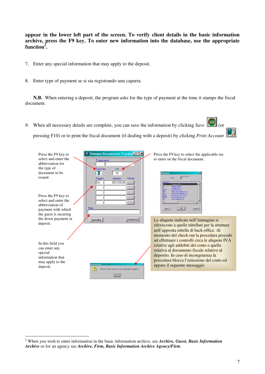**appear in the lower left part of the screen. To verify client details in the basic information archive, press the F9 key. To enter new information into the database, use the appropriate function 2 .**

- 7. Enter any special information that may apply to the deposit.
- 8. Enter type of payment se si sta registrando una caparra.

**N.B.** When entering a deposit, the program asks for the type of payment at the time it stamps the fiscal document.

9. When all necessary details are complete, you can save the information by clicking *Save* (or pressing F10) or to print the fiscal document (if dealing with a deposit) by clicking *Print Account* .



<sup>2</sup> When you wish to enter informaiton in the basic information archive, see *Archive, Guest, Basic Information Archive* or for an agency see *Archive, Firm, Basic Information Archive Agency/Firm*.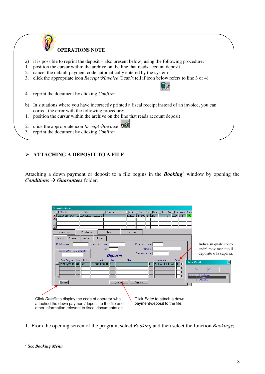

### - **ATTACHING A DEPOSIT TO A FILE**

Attaching a down payment or deposit to a file begins in the **Booking**<sup>3</sup> window by opening the *Conditions*  $\rightarrow$  *Guarantees* folder.

| Prenotazione<br>I Cliente<br>E<br>$\blacktriangle$<br>$\overline{\phantom{a}}$<br>⊽                                                                          | <b>Ditta</b><br>VALENTINI MATILE ALCATEL ITALIA S. | " Gruppo                             | Arrivo MPart<br>19/11/01 22/12/01 1 BIA     | Q.ta ~Tipo ~Room Pre, ~Arr. Num. Stato                              | <b>APP</b><br>144<br>ßА |                                                                         |
|--------------------------------------------------------------------------------------------------------------------------------------------------------------|----------------------------------------------------|--------------------------------------|---------------------------------------------|---------------------------------------------------------------------|-------------------------|-------------------------------------------------------------------------|
| Prenotazione<br>Pagamenti<br>Garanzia                                                                                                                        | Condizioni<br>Soggiorno                            | Storia<br>Extra                      | Operativo                                   |                                                                     |                         |                                                                         |
| Data Opzione<br>Importo Dep / Cau richiesto                                                                                                                  | Data Conferma                                      | Ora<br>Depositi                      | Carta di Credito<br>Numero<br>Data scadenza |                                                                     |                         | Indica su quale conto<br>andrà movimentato il<br>deposito o la caparra. |
| Data Registr. Anno N. Int.<br>$19/11/2001$ 01 57                                                                                                             |                                                    | Importo<br>lva.<br>$1.000.000,00$ 10 | Note<br>F                                   | Intestatario<br><b>ALCATEL ITAL</b> 1                               | Conto                   | ×<br>Lista Conti<br>Find<br>196<br>Ordine<br>Intestatario<br>Cliente    |
| Dettagli                                                                                                                                                     |                                                    | Inserisci                            | Cancella                                    |                                                                     |                         | 2 Agenzia                                                               |
| Click Details to display the code of operator who<br>attached the down payment/deposit to the file and<br>other information relevant to fiscal documentation |                                                    |                                      |                                             | Click <i>Enter</i> to attach a down<br>payment/deposit to the file. |                         |                                                                         |

1. From the opening screen of the program, select *Booking* and then select the function *Bookings*;

<sup>3</sup> See *Booking Menu*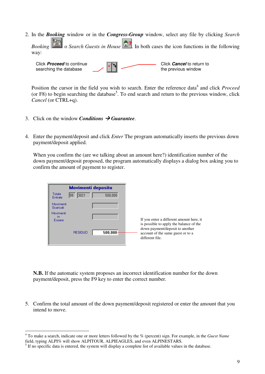2. In the *Booking* window or in the *Congress-Group* window, select any file by clicking *Search*

**Booking**  $\boxed{2}$  o *Search Guests in House* . In both cases the icon functions in the following way:



Position the cursor in the field you wish to search. Enter the reference data<sup>4</sup> and click *Proceed* (or F8) to begin searching the database<sup>5</sup>. To end search and return to the previous window, click *Cancel* (or CTRL+q).

- 3. Click on the window *Conditions Guarantee*.
- 4. Enter the payment/deposit and click *Enter* The program automatically inserts the previous down payment/deposit applied.

When you confirm the (are we talking about an amount here?) identification number of the down payment/deposit proposed, the program automatically displays a dialog box asking you to confirm the amount of payment to register.

|                           | <b>Movimenti deposito</b> |         |                                                                                         |
|---------------------------|---------------------------|---------|-----------------------------------------------------------------------------------------|
| Totale<br>Entrate         | 13021<br>199              | 500,000 |                                                                                         |
| Movimenti<br>Scaricati    |                           |         |                                                                                         |
| Movimenti<br>in<br>Essere |                           |         | If you enter a different amount here, it<br>is possible to apply the balance of the     |
|                           | <b>RESIDUO</b>            | 500.000 | down payment/deposit to another<br>account of the same guest or to a<br>different file. |

**N.B.** If the automatic system proposes an incorrect identification number for the down payment/deposit, press the F9 key to enter the correct number.

5. Confirm the total amount of the down payment/deposit registered or enter the amount that you intend to move.

<sup>4</sup> To make a search, indicate one or more letters followed by the % (percent) sign. For example, in the *Guest Name* field, typing ALPI% will show ALPITOUR, ALPIEAGLES, and even ALPINESTARS.

<sup>&</sup>lt;sup>5</sup> If no specific data is entered, the system will display a complete list of available values in the database.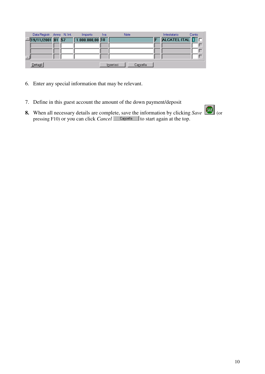| Data Registr. Anno N. Int. |  | Importo           | lva. | Note                  | Conto<br>Intestatario |  |
|----------------------------|--|-------------------|------|-----------------------|-----------------------|--|
| $-19/11/2001$ 01 57        |  | $1.000.000,00$ 10 |      |                       | ALCATEL ITAL 1 F      |  |
|                            |  |                   |      |                       |                       |  |
|                            |  |                   |      |                       |                       |  |
|                            |  |                   |      |                       |                       |  |
| Dettagli                   |  |                   |      | Inserisci<br>Cancella |                       |  |

- 6. Enter any special information that may be relevant.
- 7. Define in this guest account the amount of the down payment/deposit
- **8.** When all necessary details are complete, save the information by clicking *Save* (or pressing F10) or you can click *Cancel* **Cancell** to start again at the top.

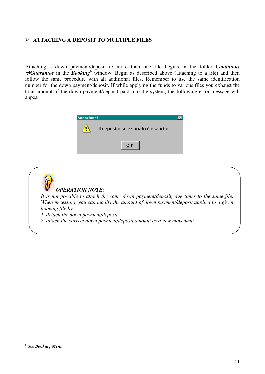#### - **ATTACHING A DEPOSIT TO MULTIPLE FILES**

Attaching a down payment/deposit to more than one file begins in the folder *Conditions* **Guarantee** in the **Booking**<sup>6</sup> window. Begin as described above (attaching to a file) and then follow the same procedure with all additional files. Remember to use the same identification number for the down payment/deposit. If while applying the funds to various files you exhaust the total amount of the down payment/deposit paid into the system, the following error message will appear:





<sup>6</sup> See *Booking Menu*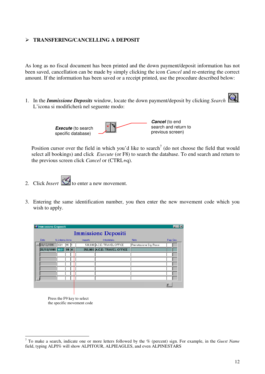#### - **TRANSFERING/CANCELLING A DEPOSIT**

As long as no fiscal document has been printed and the down payment/deposit information has not been saved, cancellation can be made by simply clicking the icon *Cancel* and re-entering the correct amount. If the information has been saved or a receipt printed, use the procedure described below:

1. In the *Immissione Deposits* window, locate the down payment/deposit by clicking *Search*  $\bigotimes$ L'icona si modificherà nel seguente modo:



Position cursor over the field in which you'd like to search<sup>7</sup> (do not choose the field that would select all bookings) and click *Execute* (or F8) to search the database. To end search and return to the previous screen click *Cancel* or (CTRL+q).

- 2. Click *Insert* to enter a new movement.
- 3. Entering the same identification number, you then enter the new movement code which you wish to apply.

| <b>St Immissione Depositi</b> |                 |     |  |  |         |  |                              |                         |           |  |
|-------------------------------|-----------------|-----|--|--|---------|--|------------------------------|-------------------------|-----------|--|
| <b>Immissione Depositi</b>    |                 |     |  |  |         |  |                              |                         |           |  |
| Data                          | N. interno Anno |     |  |  | Importo |  | Intestatario                 | Note                    | Pag. Doc. |  |
| 20/10/1999                    | 3021            | 199 |  |  |         |  | 500,000 A.C.D. TRAVEL OFFICE | Prenotazione Sig. Rossi |           |  |
| 20/10/1999 3021 99 4          |                 |     |  |  |         |  | 250,000 A.C.D. TRAVEL OFFICE |                         |           |  |
|                               |                 |     |  |  |         |  |                              |                         |           |  |
|                               |                 |     |  |  |         |  |                              |                         |           |  |
|                               |                 |     |  |  |         |  |                              |                         |           |  |
|                               |                 |     |  |  |         |  |                              |                         |           |  |
|                               |                 |     |  |  |         |  |                              |                         |           |  |
|                               |                 |     |  |  |         |  |                              |                         |           |  |
|                               |                 |     |  |  |         |  |                              |                         | ąli       |  |
|                               |                 |     |  |  |         |  |                              |                         |           |  |

Press the F9 key to select the specific movement code

<sup>7</sup> To make a search, indicate one or more letters followed by the % (percent) sign. For example, in the *Guest Name* field, typing ALPI% will show ALPITOUR, ALPIEAGLES, and even ALPINESTARS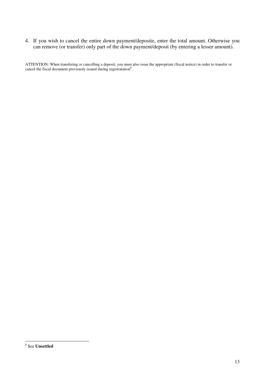4. If you wish to cancel the entire down payment/deposite, enter the total amount. Otherwise you can remove (or transfer) only part of the down payment/deposit (by entering a lesser amount).

ATTENTION: When transfering or cancelling a deposit, you must also issue the appropriate (fiscal notice) in order to transfer or cancel the fiscal document previously issued during registratation<sup>8</sup>.

<sup>8</sup> See **Unsettled**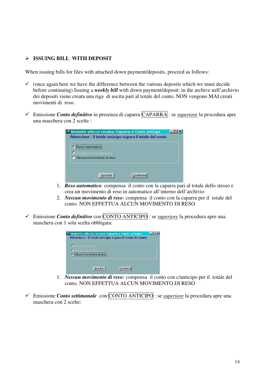#### - **ISSUING BILL WITH DEPOSIT**

When issuing bills for files with attached down payment/deposits, proceed as follows:

- $\checkmark$  (once again here we have the difference between the various deposits which we must decide before continuing) Issuing a *weekly bill* with down payment/deposit: in the archive nell'archivio dei depositi viene creata una riga di uscita pari al totale del conto. NON vengono MAI creati movimenti di reso.
- Emissione *Conto definitivo* in presenza di caparra CAPARRA : se *superiore* la procedura apre una maschera con 2 scelte :

| <b>O Modalità utilizzo residuo Caparra e Conto anticipo</b> |         |                                                            |  |
|-------------------------------------------------------------|---------|------------------------------------------------------------|--|
|                                                             |         | Attenzione : il totale anticipo supera il totale del conto |  |
| C Beso Automaticoi                                          |         |                                                            |  |
| O Riaggancio la differenza.                                 |         |                                                            |  |
| C Nessun movimento di reso                                  |         |                                                            |  |
|                                                             |         |                                                            |  |
|                                                             |         |                                                            |  |
|                                                             | unnulla | Conferma                                                   |  |
|                                                             |         |                                                            |  |

- 1. *Reso automatico*: compensa il conto con la caparra pari al totale dello stesso e crea un movimento di reso in automatico all'interno dell'archivio
- 2. *Nessun movimento di reso*: compensa il conto con la caparra per il totale del conto. NON EFFETTUA ALCUN MOVIMENTO DI RESO
- Emissione *Conto definitivo* con CONTO ANTICIPO : se *superiore* la procedura apre una maschera con 1 sola scelta obbligata:



- 1. *Nessun movimento di reso:* compensa il conto con c/anticipo per il totale del conto. NON EFFETTUA ALCUN MOVIMENTO DI RESO
- Emissione *Conto settimanale* con CONTO ANTICIPO : se *superiore* la procedura apre una maschera con 2 scelte: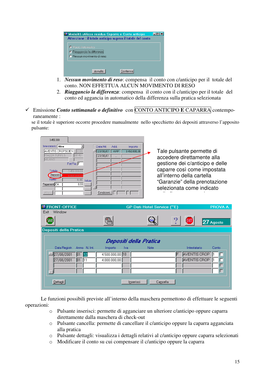| Modalità utilizzo residuo Caparra e Conto anticipo<br>Attenzione : il totale anticipo supera il totale del conto |  |
|------------------------------------------------------------------------------------------------------------------|--|
| <b>O</b> Reso Automatico<br>C Riaggancio la differenza<br>C Nessun movimento di reso                             |  |
| Conferma                                                                                                         |  |

- 1. *Nessun movimento di reso*: compensa il conto con c/anticipo per il totale del conto. NON EFFETTUA ALCUN MOVIMENTO DI RESO
- 2. *Riaggancio la differenza*: compensa il conto con il c/anticipo per il totale del conto ed aggancia in automatico della differenza sulla pratica selezionata
- Emissione *Conto settimanale o definitivo* con CONTO ANTICIPO **E** CAPARRA contemporaneamente :

se il totale è superiore occorre procedere manualmente nello specchietto dei depositi attraverso l'apposito pulsante:



| <b>E</b> FRONT-OFFICE      |                        | GP Dati Hotel Service ("E) |                     | PROVA A   |
|----------------------------|------------------------|----------------------------|---------------------|-----------|
| Window<br>Exit             |                        |                            |                     |           |
| (Save                      | e.                     |                            | 4)<br><b>EXIT</b>   | 27 Agosto |
| Depositi della Pratica     |                        |                            |                     |           |
|                            | Depositi della Pratica |                            |                     |           |
| Data Registr. Anno N. Int. | Importo<br>lva.        | <b>Note</b>                | Intestatario        | Conto     |
| 27/08/2001<br> 01<br>112   | $4.500.000,00$ 10      |                            | <b>AVENTIS CROP</b> |           |
| 27/08/2001<br> 01<br>II 1  | 4.000.000,00           |                            | <b>AVENTIS CROP</b> |           |
|                            |                        |                            |                     |           |
|                            |                        |                            |                     |           |
|                            |                        |                            |                     |           |
| Dettagli                   | Inserisci              | Cancella                   |                     |           |

Le funzioni possibili previste all'interno della maschera permettono di effettuare le seguenti operazioni:

- o Pulsante inserisci: permette di agganciare un ulteriore c/anticipo oppure caparra direttamente dalla maschera di check-out
- o Pulsante cancella: permette di cancellare il c/anticipo oppure la caparra agganciata alla pratica
- o Pulsante dettagli: visualizza i dettagli relativi al c/anticipo oppure caparra selezionati
- o Modificare il conto su cui compensare il c/anticipo oppure la caparra